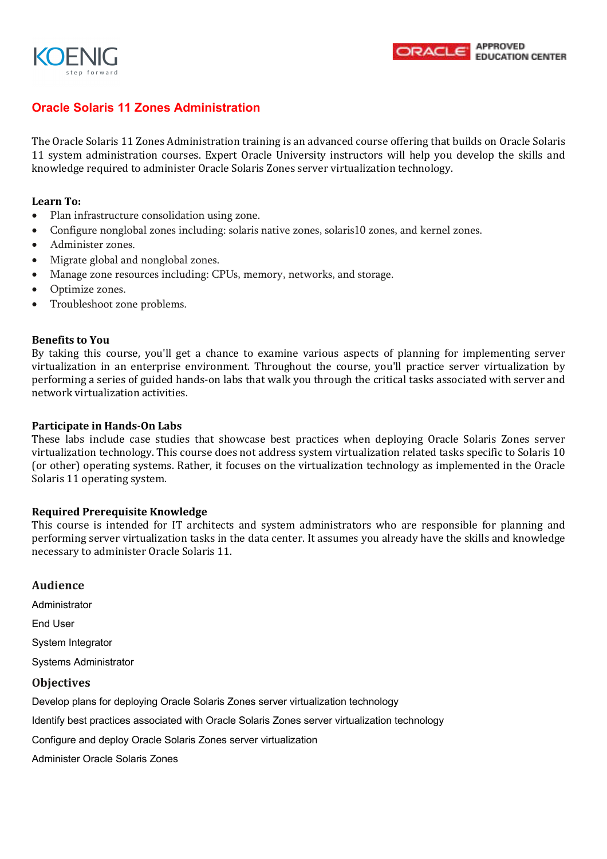



## **Oracle Solaris 11 Zones Administration**

The Oracle Solaris 11 Zones Administration training is an advanced course offering that builds on Oracle Solaris 11 system administration courses. Expert Oracle University instructors will help you develop the skills and knowledge required to administer Oracle Solaris Zones server virtualization technology.

#### **Learn To:**

- Plan infrastructure consolidation using zone.
- Configure nonglobal zones including: solaris native zones, solaris10 zones, and kernel zones.
- Administer zones.
- Migrate global and nonglobal zones.
- Manage zone resources including: CPUs, memory, networks, and storage.
- Optimize zones.
- Troubleshoot zone problems.

#### **Benefits to You**

By taking this course, you'll get a chance to examine various aspects of planning for implementing server virtualization in an enterprise environment. Throughout the course, you'll practice server virtualization by performing a series of guided hands-on labs that walk you through the critical tasks associated with server and network virtualization activities.

#### **Participate in Hands-On Labs**

These labs include case studies that showcase best practices when deploying Oracle Solaris Zones server virtualization technology. This course does not address system virtualization related tasks specific to Solaris 10 (or other) operating systems. Rather, it focuses on the virtualization technology as implemented in the Oracle Solaris 11 operating system.

#### **Required Prerequisite Knowledge**

This course is intended for IT architects and system administrators who are responsible for planning and performing server virtualization tasks in the data center. It assumes you already have the skills and knowledge necessary to administer Oracle Solaris 11.

### **Audience**

Administrator

End User

System Integrator

Systems Administrator

#### **Objectives**

Develop plans for deploying Oracle Solaris Zones server virtualization technology

Identify best practices associated with Oracle Solaris Zones server virtualization technology

Configure and deploy Oracle Solaris Zones server virtualization

Administer Oracle Solaris Zones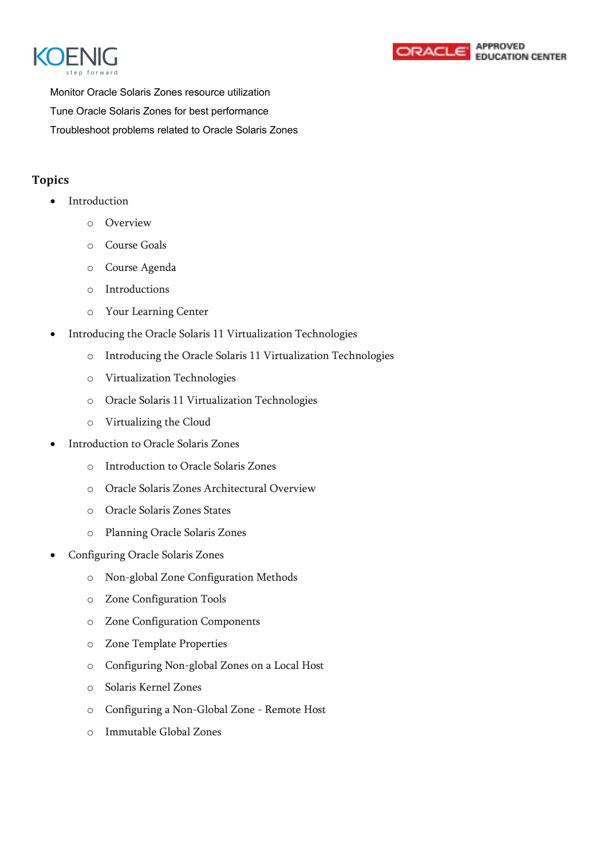



Monitor Oracle Solaris Zones resource utilization Tune Oracle Solaris Zones for best performance Troubleshoot problems related to Oracle Solaris Zones

# **Topics**

- Introduction
	- o Overview
	- o Course Goals
	- o Course Agenda
	- o Introductions
	- o Your Learning Center
- Introducing the Oracle Solaris 11 Virtualization Technologies
	- o Introducing the Oracle Solaris 11 Virtualization Technologies
	- o Virtualization Technologies
	- o Oracle Solaris 11 Virtualization Technologies
	- o Virtualizing the Cloud
- Introduction to Oracle Solaris Zones
	- o Introduction to Oracle Solaris Zones
	- o Oracle Solaris Zones Architectural Overview
	- o Oracle Solaris Zones States
	- o Planning Oracle Solaris Zones
- Configuring Oracle Solaris Zones
	- o Non-global Zone Configuration Methods
	- o Zone Configuration Tools
	- o Zone Configuration Components
	- o Zone Template Properties
	- o Configuring Non-global Zones on a Local Host
	- o Solaris Kernel Zones
	- o Configuring a Non-Global Zone Remote Host
	- o Immutable Global Zones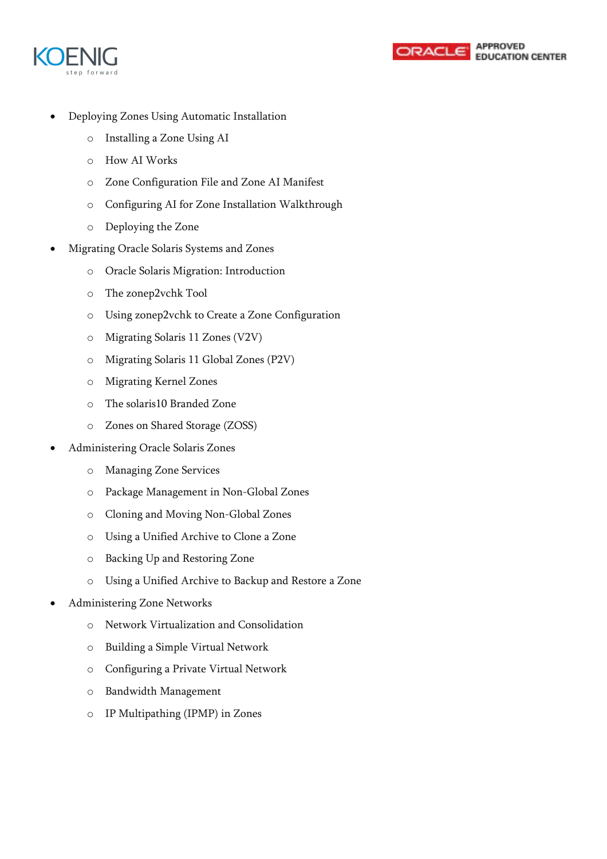



- Deploying Zones Using Automatic Installation
	- o Installing a Zone Using AI
	- o How AI Works
	- o Zone Configuration File and Zone AI Manifest
	- o Configuring AI for Zone Installation Walkthrough
	- o Deploying the Zone
- Migrating Oracle Solaris Systems and Zones
	- o Oracle Solaris Migration: Introduction
	- o The zonep2vchk Tool
	- o Using zonep2vchk to Create a Zone Configuration
	- o Migrating Solaris 11 Zones (V2V)
	- o Migrating Solaris 11 Global Zones (P2V)
	- o Migrating Kernel Zones
	- o The solaris10 Branded Zone
	- o Zones on Shared Storage (ZOSS)
- Administering Oracle Solaris Zones
	- o Managing Zone Services
	- o Package Management in Non-Global Zones
	- o Cloning and Moving Non-Global Zones
	- o Using a Unified Archive to Clone a Zone
	- o Backing Up and Restoring Zone
	- o Using a Unified Archive to Backup and Restore a Zone
- Administering Zone Networks
	- o Network Virtualization and Consolidation
	- o Building a Simple Virtual Network
	- o Configuring a Private Virtual Network
	- o Bandwidth Management
	- o IP Multipathing (IPMP) in Zones